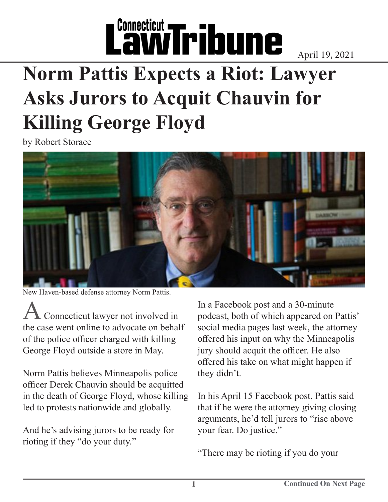## L'awTribune

April 19, 2021

## **Norm Pattis Expects a Riot: Lawyer Asks Jurors to Acquit Chauvin for Killing George Floyd**

by Robert Storace



New Haven-based defense attorney Norm Pattis.

Connecticut lawyer not involved in the case went online to advocate on behalf of the police officer charged with killing George Floyd outside a store in May.

Norm Pattis believes Minneapolis police officer Derek Chauvin should be acquitted in the death of George Floyd, whose killing led to protests nationwide and globally.

And he's advising jurors to be ready for rioting if they "do your duty."

In a Facebook post and a 30-minute podcast, both of which appeared on Pattis' social media pages last week, the attorney offered his input on why the Minneapolis jury should acquit the officer. He also offered his take on what might happen if they didn't.

In his April 15 Facebook post, Pattis said that if he were the attorney giving closing arguments, he'd tell jurors to "rise above your fear. Do justice."

"There may be rioting if you do your

**1**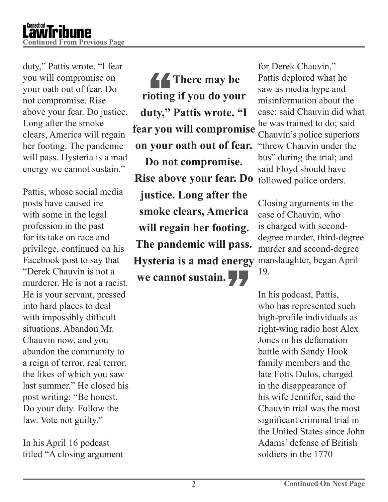

duty," Pattis wrote. "I fear you will compromise on your oath out of fear. Do not compromise. Rise above your fear. Do justice. Long after the smoke clears, America will regain her footing. The pandemic will pass. Hysteria is a mad energy we cannot sustain."

Pattis, whose social media posts have caused ire with some in the legal profession in the past for its take on race and privilege, continued on his Facebook post to say that "Derek Chauvin is not a murderer. He is not a racist. He is your servant, pressed into hard places to deal with impossibly difficult situations. Abandon Mr. Chauvin now, and you abandon the community to a reign of terror, real terror, the likes of which you saw last summer." He closed his post writing: "Be honest. Do your duty. Follow the law. Vote not guilty."

In his April 16 podcast titled "A closing argument

There may be<br>rioting if you do your<br>duty," Pattis wrote. "I *<u>A</u>* There may be **rioting if you do your fear you will compromise on your oath out of fear. Do not compromise. Rise above your fear. Do justice. Long after the smoke clears, America will regain her footing. The pandemic will pass. Hysteria is a mad energy we cannot sustain.**"

for Derek Chauvin," Pattis deplored what he saw as media hype and misinformation about the case; said Chauvin did what he was trained to do; said Chauvin's police superiors "threw Chauvin under the bus" during the trial; and said Floyd should have followed police orders.

Closing arguments in the case of Chauvin, who is charged with seconddegree murder, third-degree murder and second-degree manslaughter, began April 19.

In his podcast, Pattis, who has represented such high-profile individuals as right-wing radio host Alex Jones in his defamation battle with Sandy Hook family members and the late Fotis Dulos, charged in the disappearance of his wife Jennifer, said the Chauvin trial was the most significant criminal trial in the United States since John Adams' defense of British soldiers in the 1770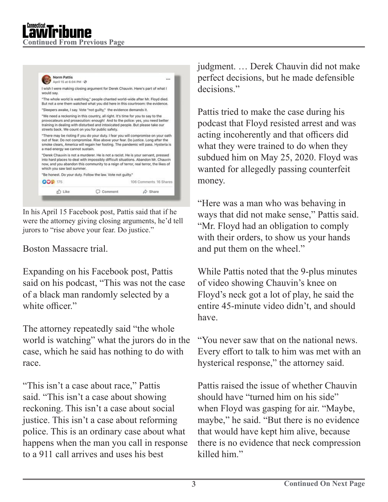

In his April 15 Facebook post, Pattis said that if he were the attorney giving closing arguments, he'd tell jurors to "rise above your fear. Do justice."

## Boston Massacre trial.

Expanding on his Facebook post, Pattis said on his podcast, "This was not the case of a black man randomly selected by a white officer."

The attorney repeatedly said "the whole world is watching" what the jurors do in the case, which he said has nothing to do with race.

"This isn't a case about race," Pattis said. "This isn't a case about showing reckoning. This isn't a case about social justice. This isn't a case about reforming police. This is an ordinary case about what happens when the man you call in response to a 911 call arrives and uses his best

judgment. … Derek Chauvin did not make perfect decisions, but he made defensible decisions."

Pattis tried to make the case during his podcast that Floyd resisted arrest and was acting incoherently and that officers did what they were trained to do when they subdued him on May 25, 2020. Floyd was wanted for allegedly passing counterfeit money.

"Here was a man who was behaving in ways that did not make sense," Pattis said. "Mr. Floyd had an obligation to comply with their orders, to show us your hands and put them on the wheel."

While Pattis noted that the 9-plus minutes of video showing Chauvin's knee on Floyd's neck got a lot of play, he said the entire 45-minute video didn't, and should have.

"You never saw that on the national news. Every effort to talk to him was met with an hysterical response," the attorney said.

Pattis raised the issue of whether Chauvin should have "turned him on his side" when Floyd was gasping for air. "Maybe, maybe," he said. "But there is no evidence that would have kept him alive, because there is no evidence that neck compression killed him."